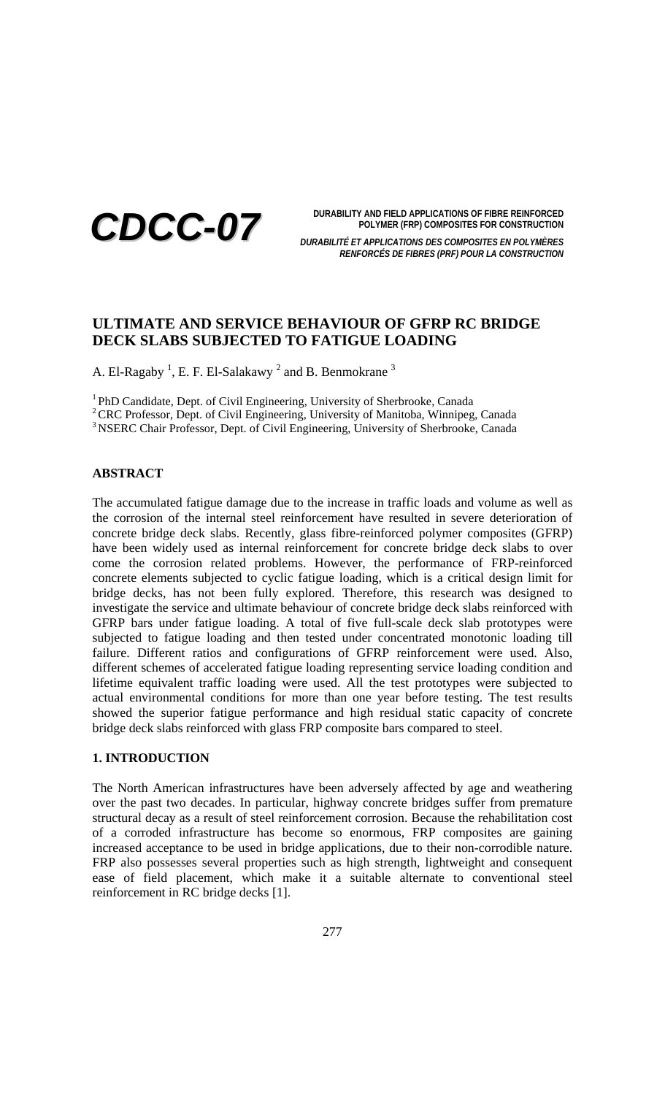

**DURABILITY AND FIELD APPLICATIONS OF FIBRE REINFORCED POLYMER (FRP) COMPOSITES FOR CONSTRUCTION**

*DURABILITÉ ET APPLICATIONS DES COMPOSITES EN POLYMÈRES RENFORCÉS DE FIBRES (PRF) POUR LA CONSTRUCTION*

# **ULTIMATE AND SERVICE BEHAVIOUR OF GFRP RC BRIDGE DECK SLABS SUBJECTED TO FATIGUE LOADING**

A. El-Ragaby  $^1$ , E. F. El-Salakawy  $^2$  and B. Benmokrane  $^3$ 

<sup>1</sup> PhD Candidate, Dept. of Civil Engineering, University of Sherbrooke, Canada

<sup>2</sup> CRC Professor, Dept. of Civil Engineering, University of Manitoba, Winnipeg, Canada

<sup>3</sup> NSERC Chair Professor, Dept. of Civil Engineering, University of Sherbrooke, Canada

### **ABSTRACT**

The accumulated fatigue damage due to the increase in traffic loads and volume as well as the corrosion of the internal steel reinforcement have resulted in severe deterioration of concrete bridge deck slabs. Recently, glass fibre-reinforced polymer composites (GFRP) have been widely used as internal reinforcement for concrete bridge deck slabs to over come the corrosion related problems. However, the performance of FRP-reinforced concrete elements subjected to cyclic fatigue loading, which is a critical design limit for bridge decks, has not been fully explored. Therefore, this research was designed to investigate the service and ultimate behaviour of concrete bridge deck slabs reinforced with GFRP bars under fatigue loading. A total of five full-scale deck slab prototypes were subjected to fatigue loading and then tested under concentrated monotonic loading till failure. Different ratios and configurations of GFRP reinforcement were used. Also, different schemes of accelerated fatigue loading representing service loading condition and lifetime equivalent traffic loading were used. All the test prototypes were subjected to actual environmental conditions for more than one year before testing. The test results showed the superior fatigue performance and high residual static capacity of concrete bridge deck slabs reinforced with glass FRP composite bars compared to steel.

### **1. INTRODUCTION**

The North American infrastructures have been adversely affected by age and weathering over the past two decades. In particular, highway concrete bridges suffer from premature structural decay as a result of steel reinforcement corrosion. Because the rehabilitation cost of a corroded infrastructure has become so enormous, FRP composites are gaining increased acceptance to be used in bridge applications, due to their non-corrodible nature. FRP also possesses several properties such as high strength, lightweight and consequent ease of field placement, which make it a suitable alternate to conventional steel reinforcement in RC bridge decks [1].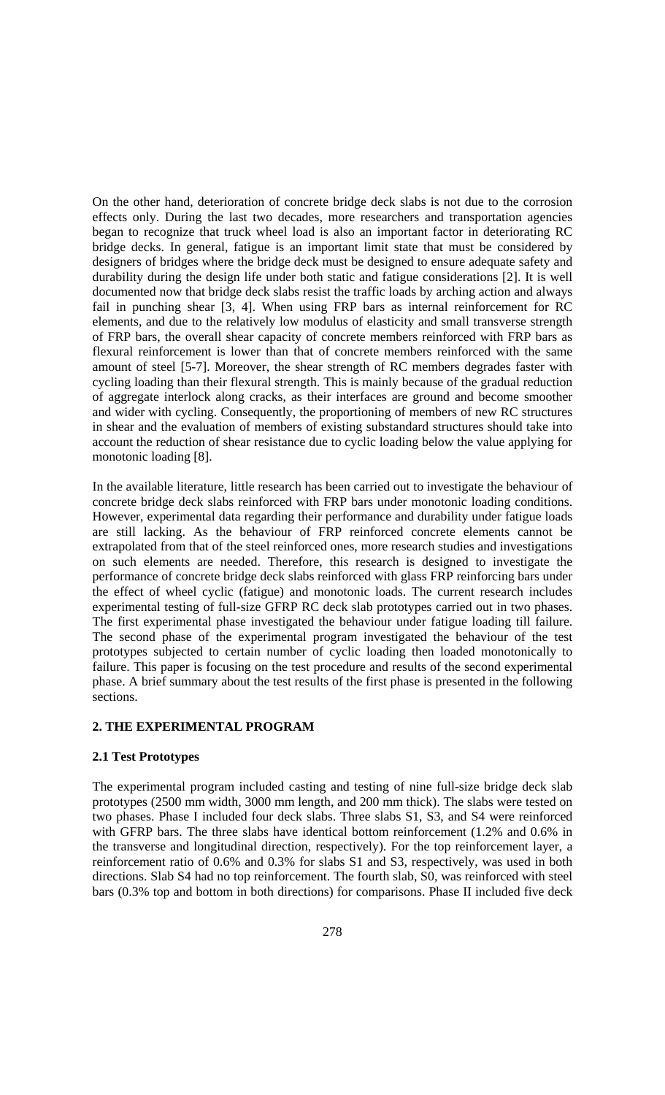On the other hand, deterioration of concrete bridge deck slabs is not due to the corrosion effects only. During the last two decades, more researchers and transportation agencies began to recognize that truck wheel load is also an important factor in deteriorating RC bridge decks. In general, fatigue is an important limit state that must be considered by designers of bridges where the bridge deck must be designed to ensure adequate safety and durability during the design life under both static and fatigue considerations [2]. It is well documented now that bridge deck slabs resist the traffic loads by arching action and always fail in punching shear [3, 4]. When using FRP bars as internal reinforcement for RC elements, and due to the relatively low modulus of elasticity and small transverse strength of FRP bars, the overall shear capacity of concrete members reinforced with FRP bars as flexural reinforcement is lower than that of concrete members reinforced with the same amount of steel [5-7]. Moreover, the shear strength of RC members degrades faster with cycling loading than their flexural strength. This is mainly because of the gradual reduction of aggregate interlock along cracks, as their interfaces are ground and become smoother and wider with cycling. Consequently, the proportioning of members of new RC structures in shear and the evaluation of members of existing substandard structures should take into account the reduction of shear resistance due to cyclic loading below the value applying for monotonic loading [8].

In the available literature, little research has been carried out to investigate the behaviour of concrete bridge deck slabs reinforced with FRP bars under monotonic loading conditions. However, experimental data regarding their performance and durability under fatigue loads are still lacking. As the behaviour of FRP reinforced concrete elements cannot be extrapolated from that of the steel reinforced ones, more research studies and investigations on such elements are needed. Therefore, this research is designed to investigate the performance of concrete bridge deck slabs reinforced with glass FRP reinforcing bars under the effect of wheel cyclic (fatigue) and monotonic loads. The current research includes experimental testing of full-size GFRP RC deck slab prototypes carried out in two phases. The first experimental phase investigated the behaviour under fatigue loading till failure. The second phase of the experimental program investigated the behaviour of the test prototypes subjected to certain number of cyclic loading then loaded monotonically to failure. This paper is focusing on the test procedure and results of the second experimental phase. A brief summary about the test results of the first phase is presented in the following sections.

## **2. THE EXPERIMENTAL PROGRAM**

### **2.1 Test Prototypes**

The experimental program included casting and testing of nine full-size bridge deck slab prototypes (2500 mm width, 3000 mm length, and 200 mm thick). The slabs were tested on two phases. Phase I included four deck slabs. Three slabs S1, S3, and S4 were reinforced with GFRP bars. The three slabs have identical bottom reinforcement (1.2% and 0.6% in the transverse and longitudinal direction, respectively). For the top reinforcement layer, a reinforcement ratio of 0.6% and 0.3% for slabs S1 and S3, respectively, was used in both directions. Slab S4 had no top reinforcement. The fourth slab, S0, was reinforced with steel bars (0.3% top and bottom in both directions) for comparisons. Phase II included five deck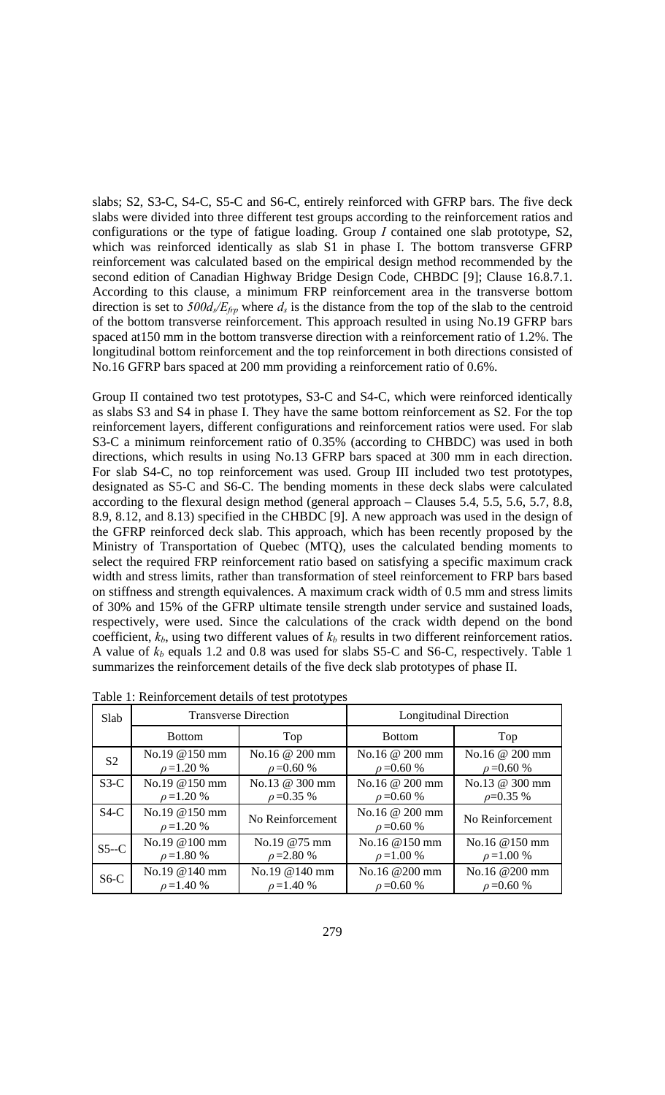slabs; S2, S3-C, S4-C, S5-C and S6-C, entirely reinforced with GFRP bars. The five deck slabs were divided into three different test groups according to the reinforcement ratios and configurations or the type of fatigue loading. Group *I* contained one slab prototype, S2, which was reinforced identically as slab S1 in phase I. The bottom transverse GFRP reinforcement was calculated based on the empirical design method recommended by the second edition of Canadian Highway Bridge Design Code, CHBDC [9]; Clause 16.8.7.1. According to this clause, a minimum FRP reinforcement area in the transverse bottom direction is set to  $500d_s/E_{ftp}$  where  $d_s$  is the distance from the top of the slab to the centroid of the bottom transverse reinforcement. This approach resulted in using No.19 GFRP bars spaced at150 mm in the bottom transverse direction with a reinforcement ratio of 1.2%. The longitudinal bottom reinforcement and the top reinforcement in both directions consisted of No.16 GFRP bars spaced at 200 mm providing a reinforcement ratio of 0.6%.

Group II contained two test prototypes, S3-C and S4-C, which were reinforced identically as slabs S3 and S4 in phase I. They have the same bottom reinforcement as S2. For the top reinforcement layers, different configurations and reinforcement ratios were used. For slab S3-C a minimum reinforcement ratio of 0.35% (according to CHBDC) was used in both directions, which results in using No.13 GFRP bars spaced at 300 mm in each direction. For slab S4-C, no top reinforcement was used. Group III included two test prototypes, designated as S5-C and S6-C. The bending moments in these deck slabs were calculated according to the flexural design method (general approach – Clauses 5.4, 5.5, 5.6, 5.7, 8.8, 8.9, 8.12, and 8.13) specified in the CHBDC [9]. A new approach was used in the design of the GFRP reinforced deck slab. This approach, which has been recently proposed by the Ministry of Transportation of Quebec (MTQ), uses the calculated bending moments to select the required FRP reinforcement ratio based on satisfying a specific maximum crack width and stress limits, rather than transformation of steel reinforcement to FRP bars based on stiffness and strength equivalences. A maximum crack width of 0.5 mm and stress limits of 30% and 15% of the GFRP ultimate tensile strength under service and sustained loads, respectively, were used. Since the calculations of the crack width depend on the bond coefficient,  $k_b$ , using two different values of  $k_b$  results in two different reinforcement ratios. A value of  $k_b$  equals 1.2 and 0.8 was used for slabs S5-C and S6-C, respectively. Table 1 summarizes the reinforcement details of the five deck slab prototypes of phase II.

| Slab           |                                   | <b>Transverse Direction</b> | <b>Longitudinal Direction</b>      |                  |  |  |
|----------------|-----------------------------------|-----------------------------|------------------------------------|------------------|--|--|
|                | <b>Bottom</b>                     | Top                         | <b>Bottom</b>                      | Top              |  |  |
| S <sub>2</sub> | No.19 @150 mm                     | No.16 @ 200 mm              | No.16 @ 200 mm                     | No.16 @ 200 mm   |  |  |
|                | $\rho = 1.20 %$                   | $\rho = 0.60 \%$            | $\rho = 0.60 \%$                   | $\rho = 0.60 \%$ |  |  |
| $S3-C$         | No.19 @150 mm                     | No.13 @ 300 mm              | No.16 @ 200 mm                     | No.13 @ 300 mm   |  |  |
|                | $\rho = 1.20 %$                   | $\rho = 0.35 \%$            | $\rho = 0.60 \%$                   | $\rho = 0.35 \%$ |  |  |
| $S4-C$         | No.19 @150 mm<br>$\rho = 1.20 \%$ | No Reinforcement            | No.16 @ 200 mm<br>$\rho = 0.60 \%$ | No Reinforcement |  |  |
| $S5-C$         | $No.19@100$ mm                    | No.19 @75 mm                | No.16 @150 mm                      | No.16 @150 mm    |  |  |
|                | $\rho = 1.80 \%$                  | $\rho = 2.80 %$             | $\rho = 1.00 %$                    | $\rho = 1.00 %$  |  |  |
| $S6-C$         | No.19 @140 mm                     | No.19@140mm                 | No.16 @200 mm                      | No.16 @200 mm    |  |  |
|                | $\rho = 1.40 \%$                  | $\rho = 1.40 \%$            | $\rho = 0.60 \%$                   | $\rho = 0.60 \%$ |  |  |

Table 1: Reinforcement details of test prototypes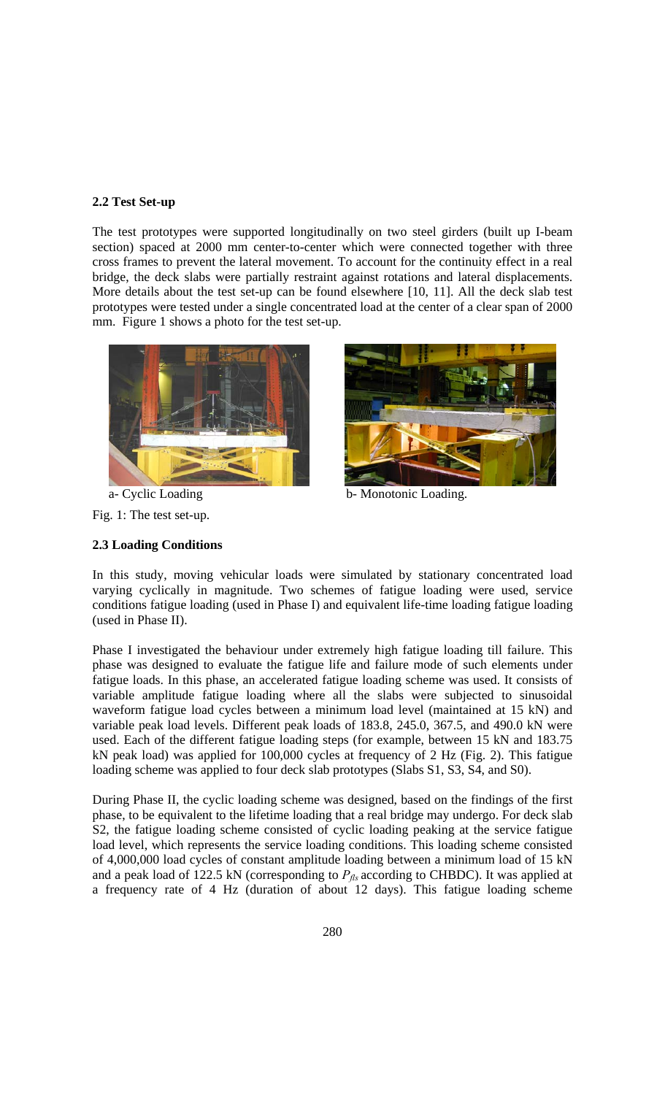### **2.2 Test Set-up**

The test prototypes were supported longitudinally on two steel girders (built up I-beam section) spaced at 2000 mm center-to-center which were connected together with three cross frames to prevent the lateral movement. To account for the continuity effect in a real bridge, the deck slabs were partially restraint against rotations and lateral displacements. More details about the test set-up can be found elsewhere [10, 11]. All the deck slab test prototypes were tested under a single concentrated load at the center of a clear span of 2000 mm. Figure 1 shows a photo for the test set-up.







a- Cyclic Loading b- Monotonic Loading.

### **2.3 Loading Conditions**

In this study, moving vehicular loads were simulated by stationary concentrated load varying cyclically in magnitude. Two schemes of fatigue loading were used, service conditions fatigue loading (used in Phase I) and equivalent life-time loading fatigue loading (used in Phase II).

Phase I investigated the behaviour under extremely high fatigue loading till failure. This phase was designed to evaluate the fatigue life and failure mode of such elements under fatigue loads. In this phase, an accelerated fatigue loading scheme was used. It consists of variable amplitude fatigue loading where all the slabs were subjected to sinusoidal waveform fatigue load cycles between a minimum load level (maintained at 15 kN) and variable peak load levels. Different peak loads of 183.8, 245.0, 367.5, and 490.0 kN were used. Each of the different fatigue loading steps (for example, between 15 kN and 183.75 kN peak load) was applied for 100,000 cycles at frequency of 2 Hz (Fig. 2). This fatigue loading scheme was applied to four deck slab prototypes (Slabs S1, S3, S4, and S0).

During Phase II, the cyclic loading scheme was designed, based on the findings of the first phase, to be equivalent to the lifetime loading that a real bridge may undergo. For deck slab S2, the fatigue loading scheme consisted of cyclic loading peaking at the service fatigue load level, which represents the service loading conditions. This loading scheme consisted of 4,000,000 load cycles of constant amplitude loading between a minimum load of 15 kN and a peak load of 122.5 kN (corresponding to  $P_{f}$  according to CHBDC). It was applied at a frequency rate of 4 Hz (duration of about 12 days). This fatigue loading scheme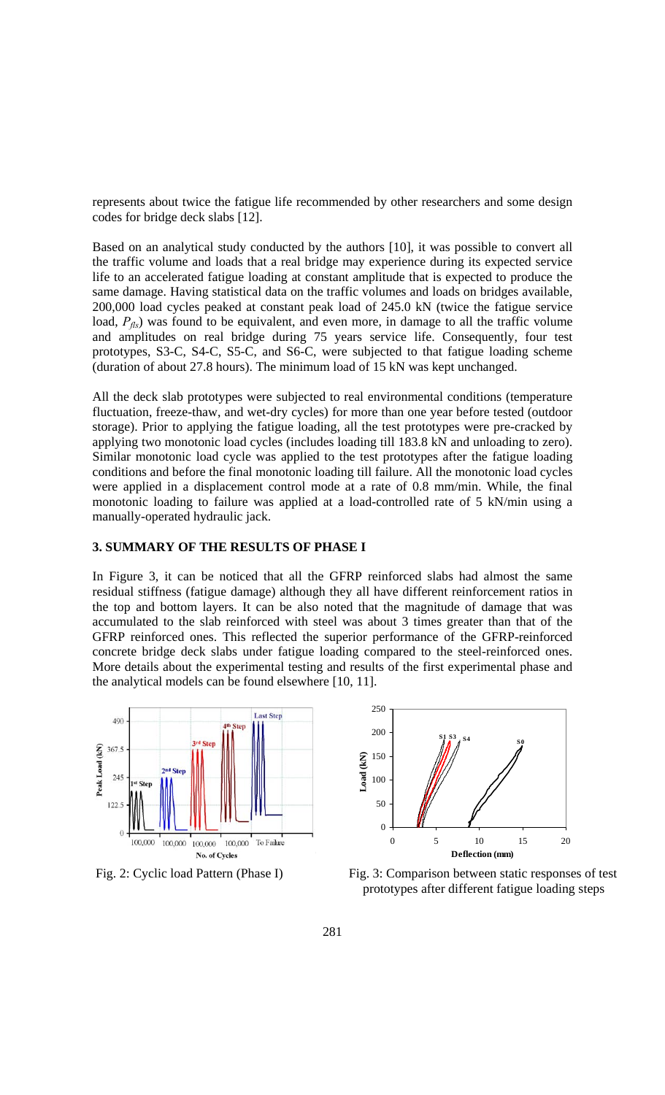represents about twice the fatigue life recommended by other researchers and some design codes for bridge deck slabs [12].

Based on an analytical study conducted by the authors [10], it was possible to convert all the traffic volume and loads that a real bridge may experience during its expected service life to an accelerated fatigue loading at constant amplitude that is expected to produce the same damage. Having statistical data on the traffic volumes and loads on bridges available, 200,000 load cycles peaked at constant peak load of 245.0 kN (twice the fatigue service load,  $P_{\text{fls}}$ ) was found to be equivalent, and even more, in damage to all the traffic volume and amplitudes on real bridge during 75 years service life. Consequently, four test prototypes, S3-C, S4-C, S5-C, and S6-C, were subjected to that fatigue loading scheme (duration of about 27.8 hours). The minimum load of 15 kN was kept unchanged.

All the deck slab prototypes were subjected to real environmental conditions (temperature fluctuation, freeze-thaw, and wet-dry cycles) for more than one year before tested (outdoor storage). Prior to applying the fatigue loading, all the test prototypes were pre-cracked by applying two monotonic load cycles (includes loading till 183.8 kN and unloading to zero). Similar monotonic load cycle was applied to the test prototypes after the fatigue loading conditions and before the final monotonic loading till failure. All the monotonic load cycles were applied in a displacement control mode at a rate of 0.8 mm/min. While, the final monotonic loading to failure was applied at a load-controlled rate of 5 kN/min using a manually-operated hydraulic jack.

## **3. SUMMARY OF THE RESULTS OF PHASE I**

In Figure 3, it can be noticed that all the GFRP reinforced slabs had almost the same residual stiffness (fatigue damage) although they all have different reinforcement ratios in the top and bottom layers. It can be also noted that the magnitude of damage that was accumulated to the slab reinforced with steel was about 3 times greater than that of the GFRP reinforced ones. This reflected the superior performance of the GFRP-reinforced concrete bridge deck slabs under fatigue loading compared to the steel-reinforced ones. More details about the experimental testing and results of the first experimental phase and the analytical models can be found elsewhere [10, 11].





Fig. 2: Cyclic load Pattern (Phase I) **Fig. 3: Comparison between static responses of test** prototypes after different fatigue loading steps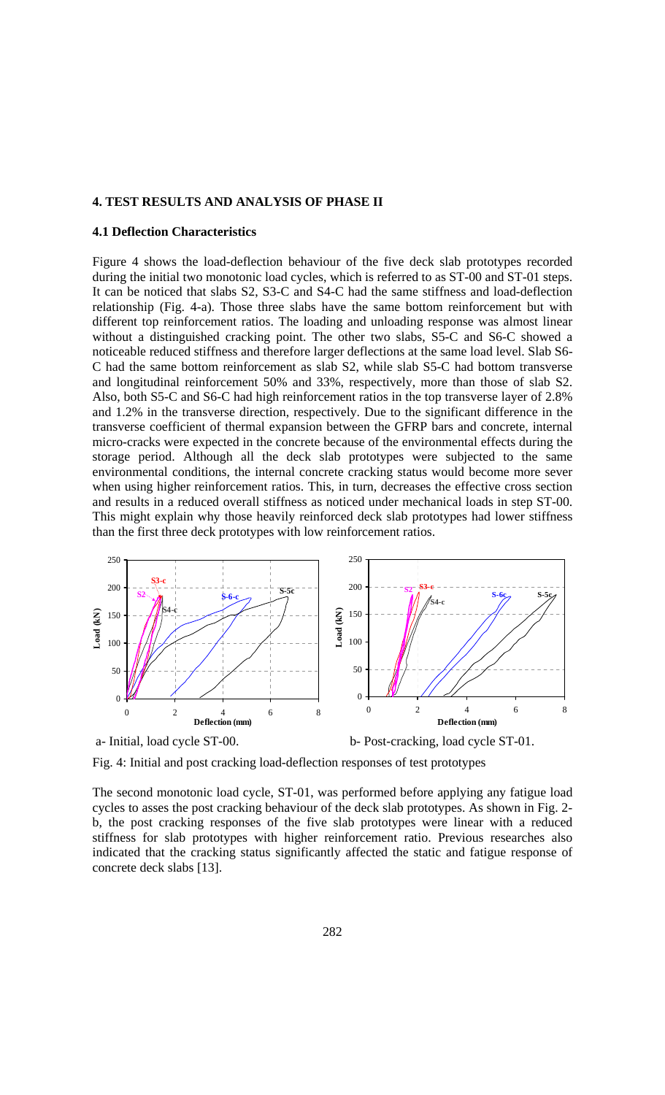### **4. TEST RESULTS AND ANALYSIS OF PHASE II**

#### **4.1 Deflection Characteristics**

Figure 4 shows the load-deflection behaviour of the five deck slab prototypes recorded during the initial two monotonic load cycles, which is referred to as ST-00 and ST-01 steps. It can be noticed that slabs S2, S3-C and S4-C had the same stiffness and load-deflection relationship (Fig. 4-a). Those three slabs have the same bottom reinforcement but with different top reinforcement ratios. The loading and unloading response was almost linear without a distinguished cracking point. The other two slabs, S5-C and S6-C showed a noticeable reduced stiffness and therefore larger deflections at the same load level. Slab S6- C had the same bottom reinforcement as slab S2, while slab S5-C had bottom transverse and longitudinal reinforcement 50% and 33%, respectively, more than those of slab S2. Also, both S5-C and S6-C had high reinforcement ratios in the top transverse layer of 2.8% and 1.2% in the transverse direction, respectively. Due to the significant difference in the transverse coefficient of thermal expansion between the GFRP bars and concrete, internal micro-cracks were expected in the concrete because of the environmental effects during the storage period. Although all the deck slab prototypes were subjected to the same environmental conditions, the internal concrete cracking status would become more sever when using higher reinforcement ratios. This, in turn, decreases the effective cross section and results in a reduced overall stiffness as noticed under mechanical loads in step ST-00. This might explain why those heavily reinforced deck slab prototypes had lower stiffness than the first three deck prototypes with low reinforcement ratios.



Fig. 4: Initial and post cracking load-deflection responses of test prototypes

The second monotonic load cycle, ST-01, was performed before applying any fatigue load cycles to asses the post cracking behaviour of the deck slab prototypes. As shown in Fig. 2 b, the post cracking responses of the five slab prototypes were linear with a reduced stiffness for slab prototypes with higher reinforcement ratio. Previous researches also indicated that the cracking status significantly affected the static and fatigue response of concrete deck slabs [13].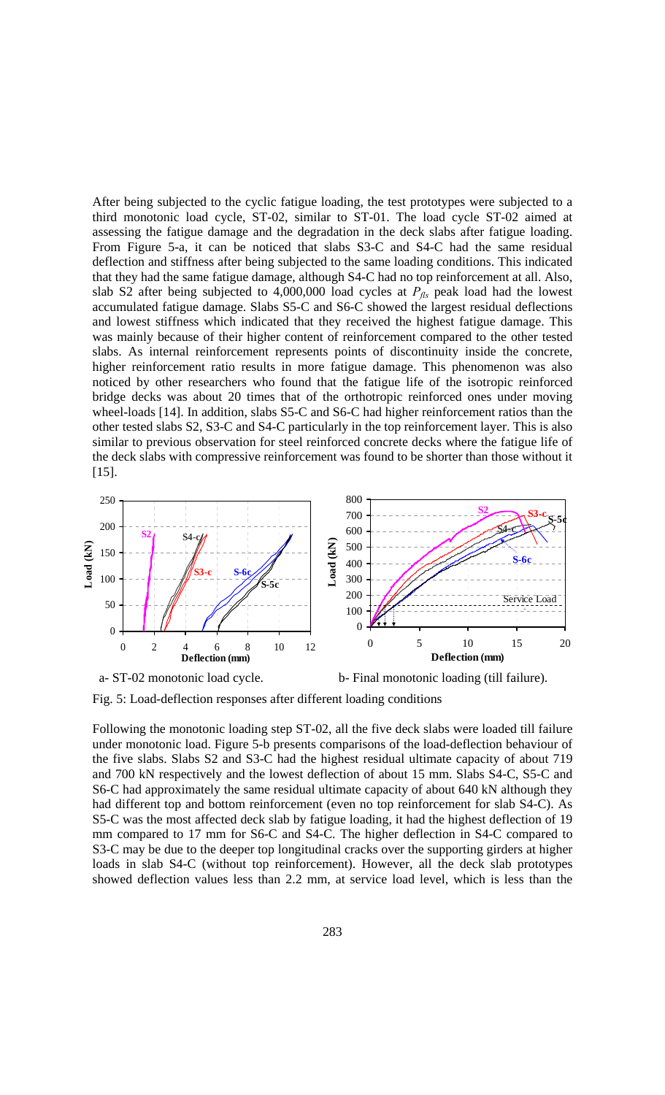After being subjected to the cyclic fatigue loading, the test prototypes were subjected to a third monotonic load cycle, ST-02, similar to ST-01. The load cycle ST-02 aimed at assessing the fatigue damage and the degradation in the deck slabs after fatigue loading. From Figure 5-a, it can be noticed that slabs S3-C and S4-C had the same residual deflection and stiffness after being subjected to the same loading conditions. This indicated that they had the same fatigue damage, although S4-C had no top reinforcement at all. Also, slab S2 after being subjected to  $4,000,000$  load cycles at  $P_{\text{fls}}$  peak load had the lowest accumulated fatigue damage. Slabs S5-C and S6-C showed the largest residual deflections and lowest stiffness which indicated that they received the highest fatigue damage. This was mainly because of their higher content of reinforcement compared to the other tested slabs. As internal reinforcement represents points of discontinuity inside the concrete, higher reinforcement ratio results in more fatigue damage. This phenomenon was also noticed by other researchers who found that the fatigue life of the isotropic reinforced bridge decks was about 20 times that of the orthotropic reinforced ones under moving wheel-loads [14]. In addition, slabs S5-C and S6-C had higher reinforcement ratios than the other tested slabs S2, S3-C and S4-C particularly in the top reinforcement layer. This is also similar to previous observation for steel reinforced concrete decks where the fatigue life of the deck slabs with compressive reinforcement was found to be shorter than those without it [15].



Fig. 5: Load-deflection responses after different loading conditions

Following the monotonic loading step ST-02, all the five deck slabs were loaded till failure under monotonic load. Figure 5-b presents comparisons of the load-deflection behaviour of the five slabs. Slabs S2 and S3-C had the highest residual ultimate capacity of about 719 and 700 kN respectively and the lowest deflection of about 15 mm. Slabs S4-C, S5-C and S6-C had approximately the same residual ultimate capacity of about 640 kN although they had different top and bottom reinforcement (even no top reinforcement for slab S4-C). As S5-C was the most affected deck slab by fatigue loading, it had the highest deflection of 19 mm compared to 17 mm for S6-C and S4-C. The higher deflection in S4-C compared to S3-C may be due to the deeper top longitudinal cracks over the supporting girders at higher loads in slab S4-C (without top reinforcement). However, all the deck slab prototypes showed deflection values less than 2.2 mm, at service load level, which is less than the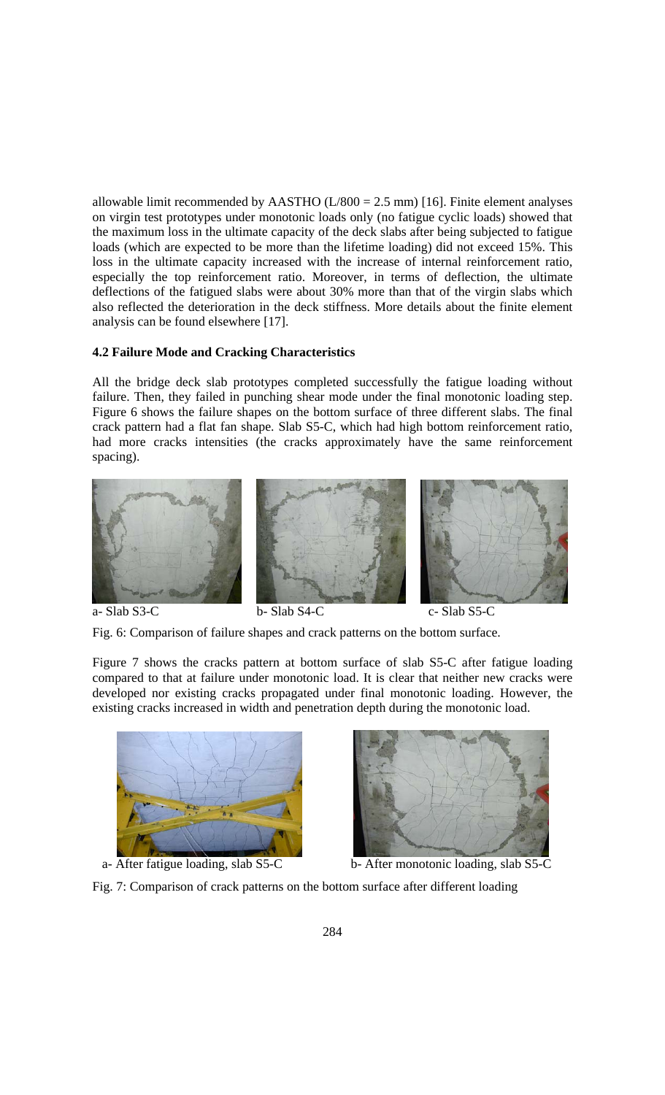allowable limit recommended by AASTHO  $(L/800 = 2.5$  mm) [16]. Finite element analyses on virgin test prototypes under monotonic loads only (no fatigue cyclic loads) showed that the maximum loss in the ultimate capacity of the deck slabs after being subjected to fatigue loads (which are expected to be more than the lifetime loading) did not exceed 15%. This loss in the ultimate capacity increased with the increase of internal reinforcement ratio, especially the top reinforcement ratio. Moreover, in terms of deflection, the ultimate deflections of the fatigued slabs were about 30% more than that of the virgin slabs which also reflected the deterioration in the deck stiffness. More details about the finite element analysis can be found elsewhere [17].

### **4.2 Failure Mode and Cracking Characteristics**

All the bridge deck slab prototypes completed successfully the fatigue loading without failure. Then, they failed in punching shear mode under the final monotonic loading step. Figure 6 shows the failure shapes on the bottom surface of three different slabs. The final crack pattern had a flat fan shape. Slab S5-C, which had high bottom reinforcement ratio, had more cracks intensities (the cracks approximately have the same reinforcement spacing).





Fig. 6: Comparison of failure shapes and crack patterns on the bottom surface.

Figure 7 shows the cracks pattern at bottom surface of slab S5-C after fatigue loading compared to that at failure under monotonic load. It is clear that neither new cracks were developed nor existing cracks propagated under final monotonic loading. However, the existing cracks increased in width and penetration depth during the monotonic load.





a- After fatigue loading, slab S5-C b- After monotonic loading, slab S5-C

Fig. 7: Comparison of crack patterns on the bottom surface after different loading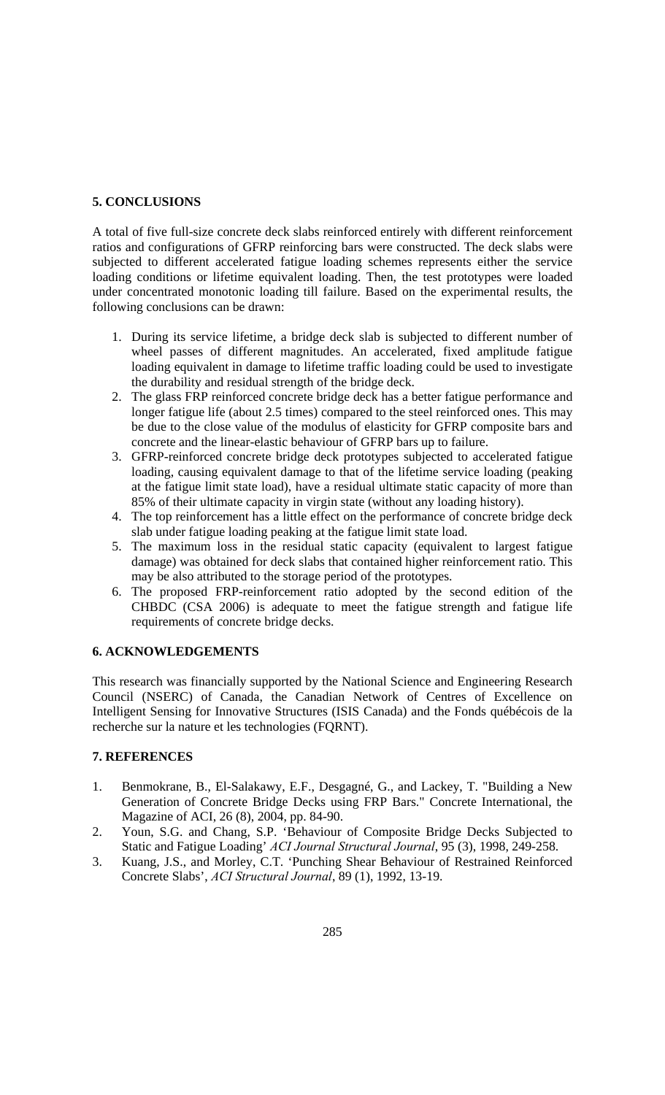# **5. CONCLUSIONS**

A total of five full-size concrete deck slabs reinforced entirely with different reinforcement ratios and configurations of GFRP reinforcing bars were constructed. The deck slabs were subjected to different accelerated fatigue loading schemes represents either the service loading conditions or lifetime equivalent loading. Then, the test prototypes were loaded under concentrated monotonic loading till failure. Based on the experimental results, the following conclusions can be drawn:

- 1. During its service lifetime, a bridge deck slab is subjected to different number of wheel passes of different magnitudes. An accelerated, fixed amplitude fatigue loading equivalent in damage to lifetime traffic loading could be used to investigate the durability and residual strength of the bridge deck.
- 2. The glass FRP reinforced concrete bridge deck has a better fatigue performance and longer fatigue life (about 2.5 times) compared to the steel reinforced ones. This may be due to the close value of the modulus of elasticity for GFRP composite bars and concrete and the linear-elastic behaviour of GFRP bars up to failure.
- 3. GFRP-reinforced concrete bridge deck prototypes subjected to accelerated fatigue loading, causing equivalent damage to that of the lifetime service loading (peaking at the fatigue limit state load), have a residual ultimate static capacity of more than 85% of their ultimate capacity in virgin state (without any loading history).
- 4. The top reinforcement has a little effect on the performance of concrete bridge deck slab under fatigue loading peaking at the fatigue limit state load.
- 5. The maximum loss in the residual static capacity (equivalent to largest fatigue damage) was obtained for deck slabs that contained higher reinforcement ratio. This may be also attributed to the storage period of the prototypes.
- 6. The proposed FRP-reinforcement ratio adopted by the second edition of the CHBDC (CSA 2006) is adequate to meet the fatigue strength and fatigue life requirements of concrete bridge decks.

### **6. ACKNOWLEDGEMENTS**

This research was financially supported by the National Science and Engineering Research Council (NSERC) of Canada, the Canadian Network of Centres of Excellence on Intelligent Sensing for Innovative Structures (ISIS Canada) and the Fonds québécois de la recherche sur la nature et les technologies (FQRNT).

# **7. REFERENCES**

- 1. Benmokrane, B., El-Salakawy, E.F., Desgagné, G., and Lackey, T. "Building a New Generation of Concrete Bridge Decks using FRP Bars." Concrete International, the Magazine of ACI, 26 (8), 2004, pp. 84-90.
- 2. Youn, S.G. and Chang, S.P. 'Behaviour of Composite Bridge Decks Subjected to Static and Fatigue Loading' *ACI Journal Structural Journal*, 95 (3), 1998, 249-258.
- 3. Kuang, J.S., and Morley, C.T. 'Punching Shear Behaviour of Restrained Reinforced Concrete Slabs', *ACI Structural Journal*, 89 (1), 1992, 13-19.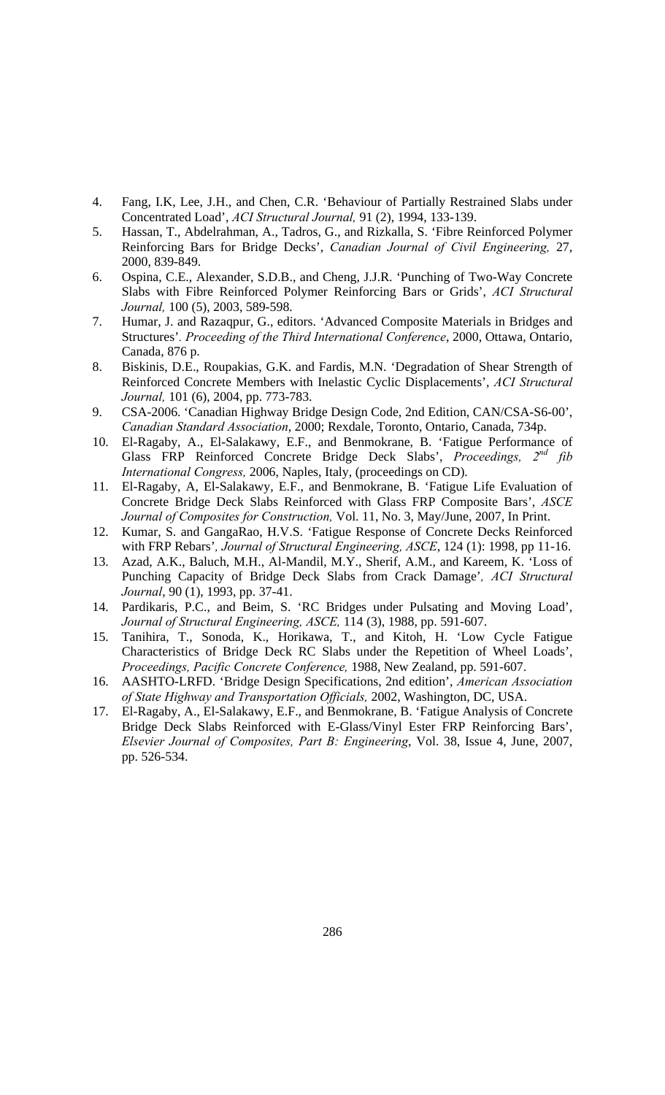- 4. Fang, I.K, Lee, J.H., and Chen, C.R. 'Behaviour of Partially Restrained Slabs under Concentrated Load', *ACI Structural Journal,* 91 (2), 1994, 133-139.
- 5. Hassan, T., Abdelrahman, A., Tadros, G., and Rizkalla, S. 'Fibre Reinforced Polymer Reinforcing Bars for Bridge Decks', *Canadian Journal of Civil Engineering,* 27, 2000, 839-849.
- 6. Ospina, C.E., Alexander, S.D.B., and Cheng, J.J.R. 'Punching of Two-Way Concrete Slabs with Fibre Reinforced Polymer Reinforcing Bars or Grids', *ACI Structural Journal,* 100 (5), 2003, 589-598.
- 7. Humar, J. and Razaqpur, G., editors. 'Advanced Composite Materials in Bridges and Structures'*. Proceeding of the Third International Conference*, 2000, Ottawa, Ontario, Canada, 876 p.
- 8. Biskinis, D.E., Roupakias, G.K. and Fardis, M.N. 'Degradation of Shear Strength of Reinforced Concrete Members with Inelastic Cyclic Displacements', *ACI Structural Journal,* 101 (6), 2004, pp. 773-783.
- 9. CSA-2006. 'Canadian Highway Bridge Design Code, 2nd Edition, CAN/CSA-S6-00', *Canadian Standard Association*, 2000; Rexdale, Toronto, Ontario, Canada, 734p.
- 10. El-Ragaby, A., El-Salakawy, E.F., and Benmokrane, B. 'Fatigue Performance of Glass FRP Reinforced Concrete Bridge Deck Slabs', *Proceedings, 2nd fib International Congress,* 2006, Naples, Italy, (proceedings on CD).
- 11. El-Ragaby, A, El-Salakawy, E.F., and Benmokrane, B. 'Fatigue Life Evaluation of Concrete Bridge Deck Slabs Reinforced with Glass FRP Composite Bars', *ASCE Journal of Composites for Construction,* Vol. 11, No. 3, May/June, 2007, In Print.
- 12. Kumar, S. and GangaRao, H.V.S. 'Fatigue Response of Concrete Decks Reinforced with FRP Rebars'*, Journal of Structural Engineering, ASCE*, 124 (1): 1998, pp 11-16.
- 13. Azad, A.K., Baluch, M.H., Al-Mandil, M.Y., Sherif, A.M., and Kareem, K. 'Loss of Punching Capacity of Bridge Deck Slabs from Crack Damage'*, ACI Structural Journal*, 90 (1), 1993, pp. 37-41.
- 14. Pardikaris, P.C., and Beim, S. 'RC Bridges under Pulsating and Moving Load', *Journal of Structural Engineering, ASCE,* 114 (3), 1988, pp. 591-607.
- 15. Tanihira, T., Sonoda, K., Horikawa, T., and Kitoh, H. 'Low Cycle Fatigue Characteristics of Bridge Deck RC Slabs under the Repetition of Wheel Loads', *Proceedings, Pacific Concrete Conference,* 1988, New Zealand, pp. 591-607.
- 16. AASHTO-LRFD. 'Bridge Design Specifications, 2nd edition', *American Association of State Highway and Transportation Officials,* 2002, Washington, DC, USA.
- 17. El-Ragaby, A., El-Salakawy, E.F., and Benmokrane, B. 'Fatigue Analysis of Concrete Bridge Deck Slabs Reinforced with E-Glass/Vinyl Ester FRP Reinforcing Bars', *Elsevier Journal of Composites, Part B: Engineering*, Vol. 38, Issue 4, June, 2007, pp. 526-534.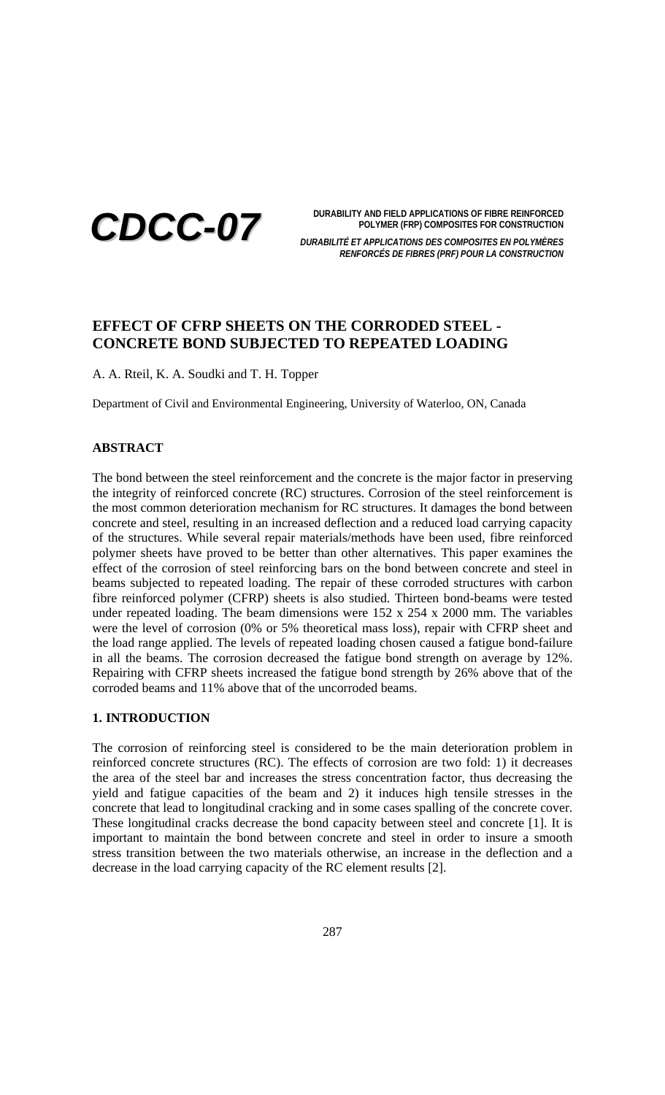

**DURABILITY AND FIELD APPLICATIONS OF FIBRE REINFORCED POLYMER (FRP) COMPOSITES FOR CONSTRUCTION**

*DURABILITÉ ET APPLICATIONS DES COMPOSITES EN POLYMÈRES RENFORCÉS DE FIBRES (PRF) POUR LA CONSTRUCTION*

# **EFFECT OF CFRP SHEETS ON THE CORRODED STEEL - CONCRETE BOND SUBJECTED TO REPEATED LOADING**

A. A. Rteil, K. A. Soudki and T. H. Topper

Department of Civil and Environmental Engineering, University of Waterloo, ON, Canada

### **ABSTRACT**

The bond between the steel reinforcement and the concrete is the major factor in preserving the integrity of reinforced concrete (RC) structures. Corrosion of the steel reinforcement is the most common deterioration mechanism for RC structures. It damages the bond between concrete and steel, resulting in an increased deflection and a reduced load carrying capacity of the structures. While several repair materials/methods have been used, fibre reinforced polymer sheets have proved to be better than other alternatives. This paper examines the effect of the corrosion of steel reinforcing bars on the bond between concrete and steel in beams subjected to repeated loading. The repair of these corroded structures with carbon fibre reinforced polymer (CFRP) sheets is also studied. Thirteen bond-beams were tested under repeated loading. The beam dimensions were 152 x 254 x 2000 mm. The variables were the level of corrosion (0% or 5% theoretical mass loss), repair with CFRP sheet and the load range applied. The levels of repeated loading chosen caused a fatigue bond-failure in all the beams. The corrosion decreased the fatigue bond strength on average by 12%. Repairing with CFRP sheets increased the fatigue bond strength by 26% above that of the corroded beams and 11% above that of the uncorroded beams.

## **1. INTRODUCTION**

The corrosion of reinforcing steel is considered to be the main deterioration problem in reinforced concrete structures (RC). The effects of corrosion are two fold: 1) it decreases the area of the steel bar and increases the stress concentration factor, thus decreasing the yield and fatigue capacities of the beam and 2) it induces high tensile stresses in the concrete that lead to longitudinal cracking and in some cases spalling of the concrete cover. These longitudinal cracks decrease the bond capacity between steel and concrete [1]. It is important to maintain the bond between concrete and steel in order to insure a smooth stress transition between the two materials otherwise, an increase in the deflection and a decrease in the load carrying capacity of the RC element results [2].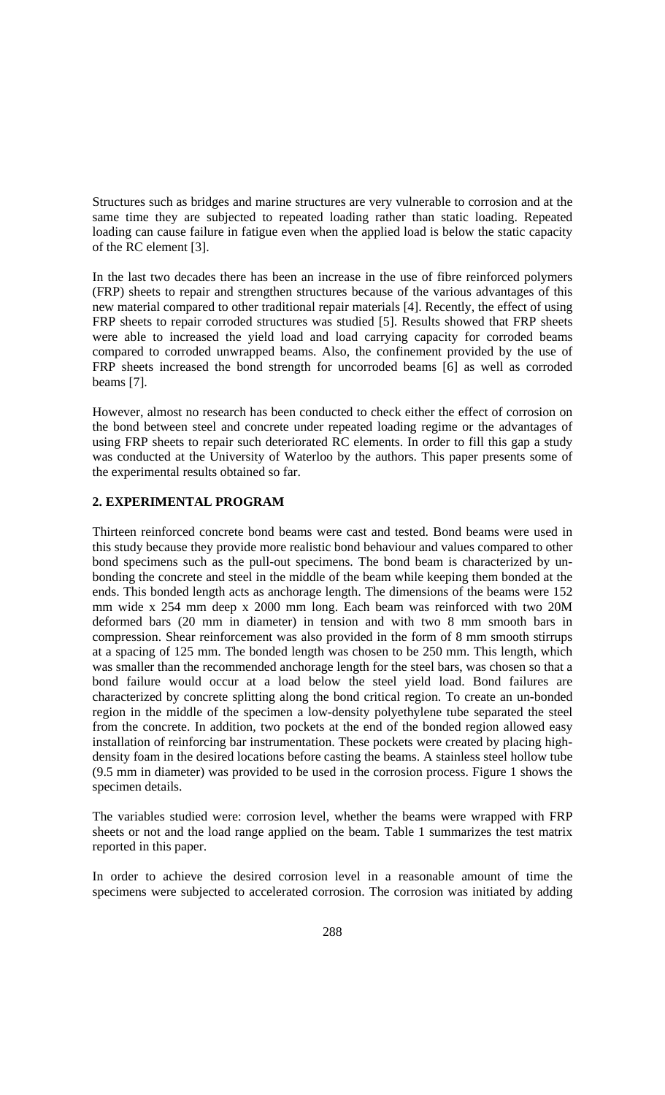Structures such as bridges and marine structures are very vulnerable to corrosion and at the same time they are subjected to repeated loading rather than static loading. Repeated loading can cause failure in fatigue even when the applied load is below the static capacity of the RC element [3].

In the last two decades there has been an increase in the use of fibre reinforced polymers (FRP) sheets to repair and strengthen structures because of the various advantages of this new material compared to other traditional repair materials [4]. Recently, the effect of using FRP sheets to repair corroded structures was studied [5]. Results showed that FRP sheets were able to increased the yield load and load carrying capacity for corroded beams compared to corroded unwrapped beams. Also, the confinement provided by the use of FRP sheets increased the bond strength for uncorroded beams [6] as well as corroded beams [7].

However, almost no research has been conducted to check either the effect of corrosion on the bond between steel and concrete under repeated loading regime or the advantages of using FRP sheets to repair such deteriorated RC elements. In order to fill this gap a study was conducted at the University of Waterloo by the authors. This paper presents some of the experimental results obtained so far.

## **2. EXPERIMENTAL PROGRAM**

Thirteen reinforced concrete bond beams were cast and tested. Bond beams were used in this study because they provide more realistic bond behaviour and values compared to other bond specimens such as the pull-out specimens. The bond beam is characterized by unbonding the concrete and steel in the middle of the beam while keeping them bonded at the ends. This bonded length acts as anchorage length. The dimensions of the beams were 152 mm wide x 254 mm deep x 2000 mm long. Each beam was reinforced with two 20M deformed bars (20 mm in diameter) in tension and with two 8 mm smooth bars in compression. Shear reinforcement was also provided in the form of 8 mm smooth stirrups at a spacing of 125 mm. The bonded length was chosen to be 250 mm. This length, which was smaller than the recommended anchorage length for the steel bars, was chosen so that a bond failure would occur at a load below the steel yield load. Bond failures are characterized by concrete splitting along the bond critical region. To create an un-bonded region in the middle of the specimen a low-density polyethylene tube separated the steel from the concrete. In addition, two pockets at the end of the bonded region allowed easy installation of reinforcing bar instrumentation. These pockets were created by placing highdensity foam in the desired locations before casting the beams. A stainless steel hollow tube (9.5 mm in diameter) was provided to be used in the corrosion process. Figure 1 shows the specimen details.

The variables studied were: corrosion level, whether the beams were wrapped with FRP sheets or not and the load range applied on the beam. Table 1 summarizes the test matrix reported in this paper.

In order to achieve the desired corrosion level in a reasonable amount of time the specimens were subjected to accelerated corrosion. The corrosion was initiated by adding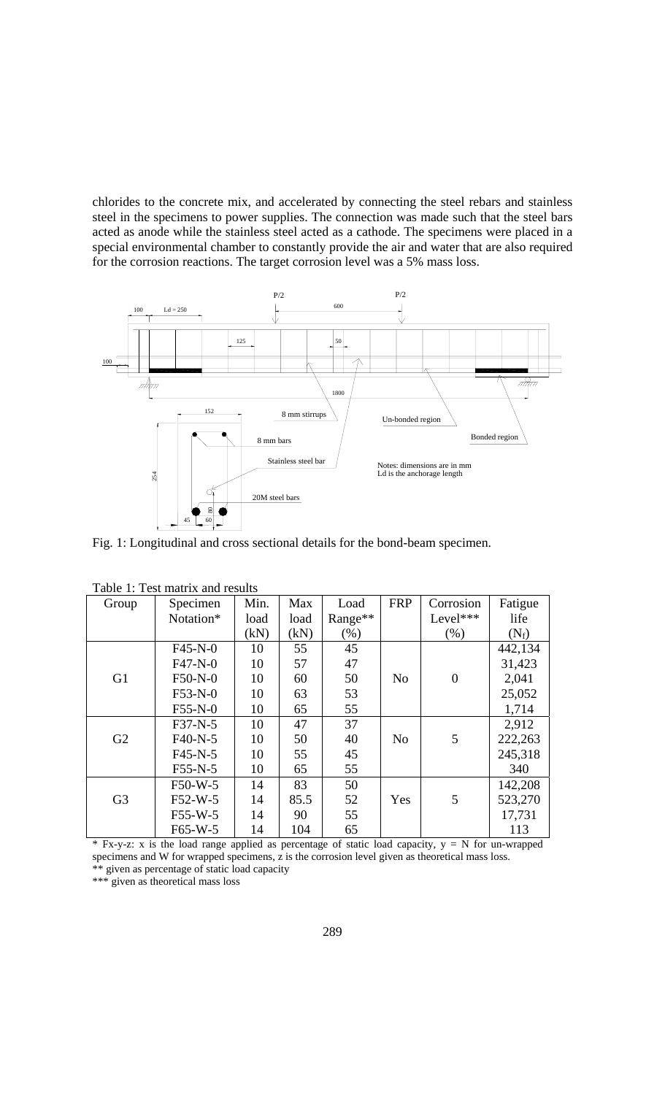chlorides to the concrete mix, and accelerated by connecting the steel rebars and stainless steel in the specimens to power supplies. The connection was made such that the steel bars acted as anode while the stainless steel acted as a cathode. The specimens were placed in a special environmental chamber to constantly provide the air and water that are also required for the corrosion reactions. The target corrosion level was a 5% mass loss.



Fig. 1: Longitudinal and cross sectional details for the bond-beam specimen.

| Tuoto T. Tost muutta unu tosutto |           |      |      |         |                |                |         |  |  |  |
|----------------------------------|-----------|------|------|---------|----------------|----------------|---------|--|--|--|
| Group                            | Specimen  | Min. | Max  | Load    | <b>FRP</b>     | Corrosion      | Fatigue |  |  |  |
|                                  | Notation* | load | load | Range** |                | Level***       | life    |  |  |  |
|                                  |           | (kN) | (kN) | $(\% )$ |                | $(\% )$        | $(N_f)$ |  |  |  |
|                                  | $F45-N-0$ | 10   | 55   | 45      |                |                | 442,134 |  |  |  |
|                                  | $F47-N-0$ | 10   | 57   | 47      |                |                | 31,423  |  |  |  |
| G1                               | F50-N-0   | 10   | 60   | 50      | N <sub>o</sub> | $\overline{0}$ | 2,041   |  |  |  |
|                                  | $F53-N-0$ | 10   | 63   | 53      |                |                | 25,052  |  |  |  |
|                                  | $F55-N-0$ | 10   | 65   | 55      |                |                | 1,714   |  |  |  |
|                                  | $F37-N-5$ | 10   | 47   | 37      |                |                | 2,912   |  |  |  |
| G2                               | $F40-N-5$ | 10   | 50   | 40      | N <sub>o</sub> | 5              | 222,263 |  |  |  |
|                                  | $F45-N-5$ | 10   | 55   | 45      |                |                | 245,318 |  |  |  |
|                                  | $F55-N-5$ | 10   | 65   | 55      |                |                | 340     |  |  |  |
|                                  | $F50-W-5$ | 14   | 83   | 50      |                |                | 142,208 |  |  |  |
| G <sub>3</sub>                   | $F52-W-5$ | 14   | 85.5 | 52      | Yes            | 5              | 523,270 |  |  |  |
|                                  | $F55-W-5$ | 14   | 90   | 55      |                |                | 17,731  |  |  |  |
|                                  | $F65-W-5$ | 14   | 104  | 65      |                |                | 113     |  |  |  |

Table 1: Test matrix and results

 $*$  Fx-y-z: x is the load range applied as percentage of static load capacity,  $y = N$  for un-wrapped specimens and W for wrapped specimens, z is the corrosion level given as theoretical mass loss. \*\* given as percentage of static load capacity

\*\*\* given as theoretical mass loss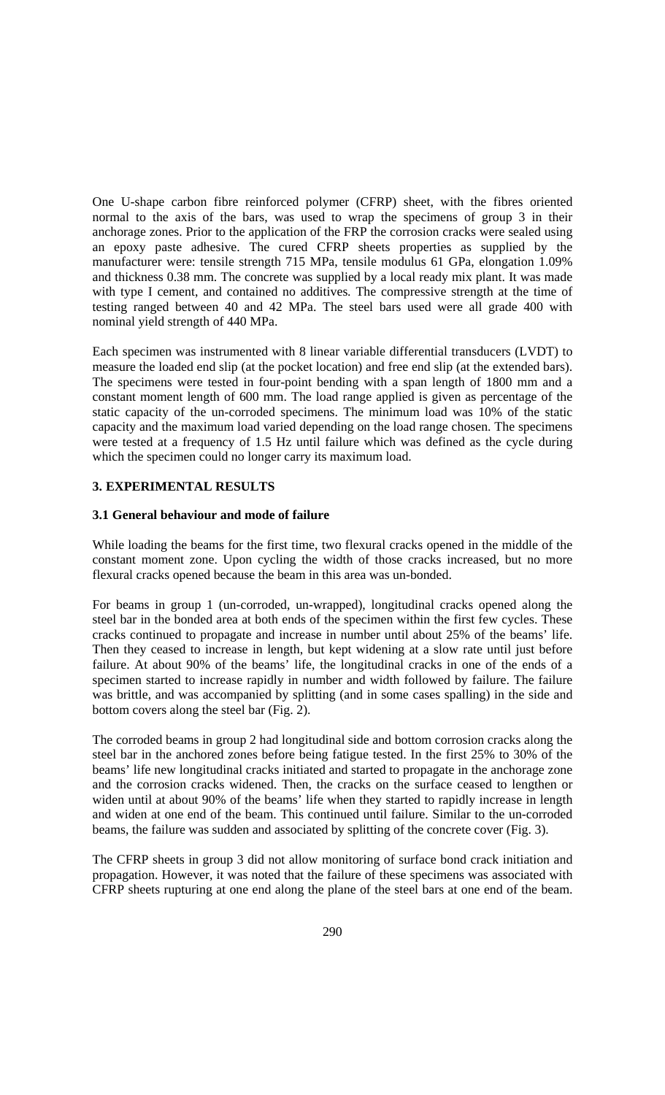One U-shape carbon fibre reinforced polymer (CFRP) sheet, with the fibres oriented normal to the axis of the bars, was used to wrap the specimens of group 3 in their anchorage zones. Prior to the application of the FRP the corrosion cracks were sealed using an epoxy paste adhesive. The cured CFRP sheets properties as supplied by the manufacturer were: tensile strength 715 MPa, tensile modulus 61 GPa, elongation 1.09% and thickness 0.38 mm. The concrete was supplied by a local ready mix plant. It was made with type I cement, and contained no additives. The compressive strength at the time of testing ranged between 40 and 42 MPa. The steel bars used were all grade 400 with nominal yield strength of 440 MPa.

Each specimen was instrumented with 8 linear variable differential transducers (LVDT) to measure the loaded end slip (at the pocket location) and free end slip (at the extended bars). The specimens were tested in four-point bending with a span length of 1800 mm and a constant moment length of 600 mm. The load range applied is given as percentage of the static capacity of the un-corroded specimens. The minimum load was 10% of the static capacity and the maximum load varied depending on the load range chosen. The specimens were tested at a frequency of 1.5 Hz until failure which was defined as the cycle during which the specimen could no longer carry its maximum load.

### **3. EXPERIMENTAL RESULTS**

### **3.1 General behaviour and mode of failure**

While loading the beams for the first time, two flexural cracks opened in the middle of the constant moment zone. Upon cycling the width of those cracks increased, but no more flexural cracks opened because the beam in this area was un-bonded.

For beams in group 1 (un-corroded, un-wrapped), longitudinal cracks opened along the steel bar in the bonded area at both ends of the specimen within the first few cycles. These cracks continued to propagate and increase in number until about 25% of the beams' life. Then they ceased to increase in length, but kept widening at a slow rate until just before failure. At about 90% of the beams' life, the longitudinal cracks in one of the ends of a specimen started to increase rapidly in number and width followed by failure. The failure was brittle, and was accompanied by splitting (and in some cases spalling) in the side and bottom covers along the steel bar (Fig. 2).

The corroded beams in group 2 had longitudinal side and bottom corrosion cracks along the steel bar in the anchored zones before being fatigue tested. In the first 25% to 30% of the beams' life new longitudinal cracks initiated and started to propagate in the anchorage zone and the corrosion cracks widened. Then, the cracks on the surface ceased to lengthen or widen until at about 90% of the beams' life when they started to rapidly increase in length and widen at one end of the beam. This continued until failure. Similar to the un-corroded beams, the failure was sudden and associated by splitting of the concrete cover (Fig. 3).

The CFRP sheets in group 3 did not allow monitoring of surface bond crack initiation and propagation. However, it was noted that the failure of these specimens was associated with CFRP sheets rupturing at one end along the plane of the steel bars at one end of the beam.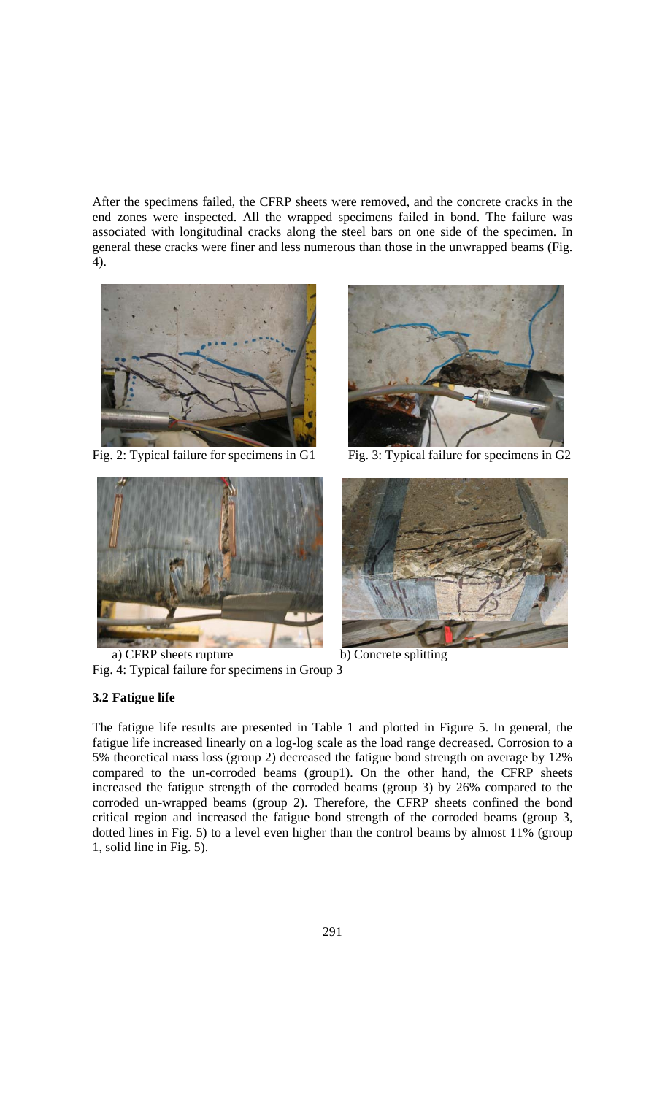After the specimens failed, the CFRP sheets were removed, and the concrete cracks in the end zones were inspected. All the wrapped specimens failed in bond. The failure was associated with longitudinal cracks along the steel bars on one side of the specimen. In general these cracks were finer and less numerous than those in the unwrapped beams (Fig. 4).





a) CFRP sheets rupture b) Concrete splitting Fig. 4: Typical failure for specimens in Group 3

#### **3.2 Fatigue life**



Fig. 2: Typical failure for specimens in G1 Fig. 3: Typical failure for specimens in G2



The fatigue life results are presented in Table 1 and plotted in Figure 5. In general, the fatigue life increased linearly on a log-log scale as the load range decreased. Corrosion to a 5% theoretical mass loss (group 2) decreased the fatigue bond strength on average by 12% compared to the un-corroded beams (group1). On the other hand, the CFRP sheets increased the fatigue strength of the corroded beams (group 3) by 26% compared to the corroded un-wrapped beams (group 2). Therefore, the CFRP sheets confined the bond critical region and increased the fatigue bond strength of the corroded beams (group 3, dotted lines in Fig. 5) to a level even higher than the control beams by almost 11% (group 1, solid line in Fig. 5).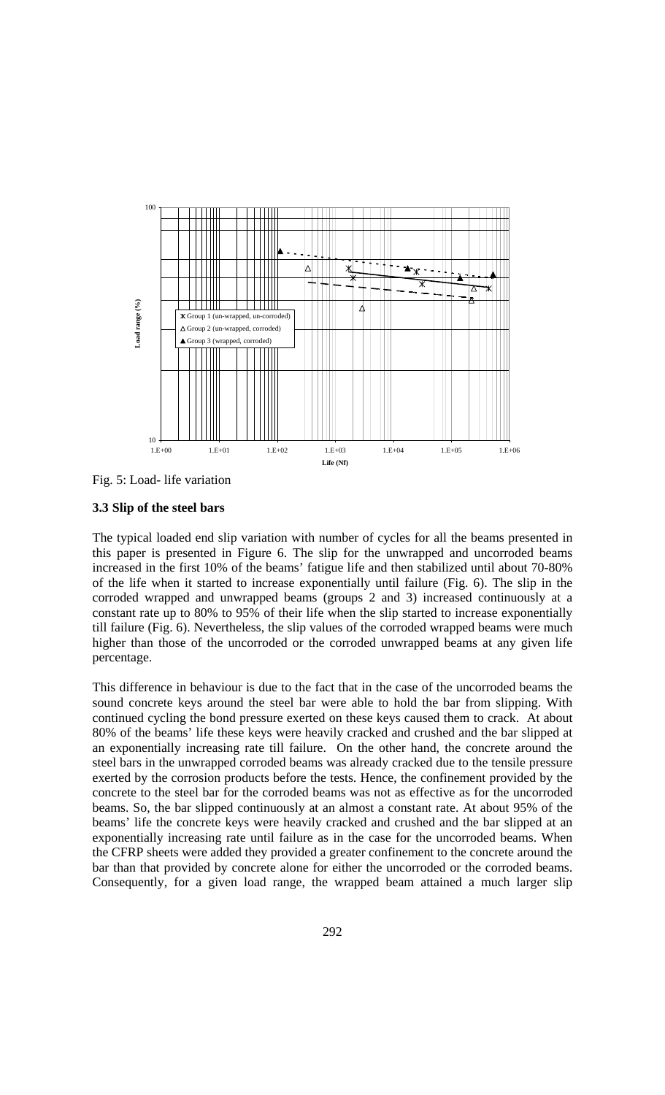

Fig. 5: Load- life variation

### **3.3 Slip of the steel bars**

The typical loaded end slip variation with number of cycles for all the beams presented in this paper is presented in Figure 6. The slip for the unwrapped and uncorroded beams increased in the first 10% of the beams' fatigue life and then stabilized until about 70-80% of the life when it started to increase exponentially until failure (Fig. 6). The slip in the corroded wrapped and unwrapped beams (groups 2 and 3) increased continuously at a constant rate up to 80% to 95% of their life when the slip started to increase exponentially till failure (Fig. 6). Nevertheless, the slip values of the corroded wrapped beams were much higher than those of the uncorroded or the corroded unwrapped beams at any given life percentage.

This difference in behaviour is due to the fact that in the case of the uncorroded beams the sound concrete keys around the steel bar were able to hold the bar from slipping. With continued cycling the bond pressure exerted on these keys caused them to crack. At about 80% of the beams' life these keys were heavily cracked and crushed and the bar slipped at an exponentially increasing rate till failure. On the other hand, the concrete around the steel bars in the unwrapped corroded beams was already cracked due to the tensile pressure exerted by the corrosion products before the tests. Hence, the confinement provided by the concrete to the steel bar for the corroded beams was not as effective as for the uncorroded beams. So, the bar slipped continuously at an almost a constant rate. At about 95% of the beams' life the concrete keys were heavily cracked and crushed and the bar slipped at an exponentially increasing rate until failure as in the case for the uncorroded beams. When the CFRP sheets were added they provided a greater confinement to the concrete around the bar than that provided by concrete alone for either the uncorroded or the corroded beams. Consequently, for a given load range, the wrapped beam attained a much larger slip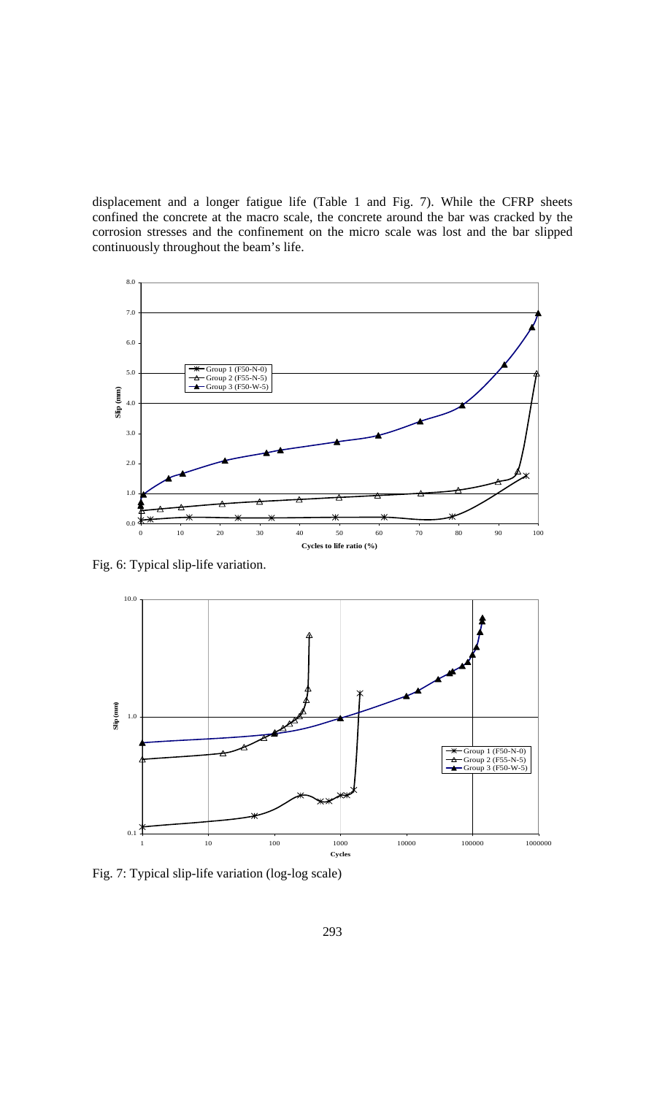displacement and a longer fatigue life (Table 1 and Fig. 7). While the CFRP sheets confined the concrete at the macro scale, the concrete around the bar was cracked by the corrosion stresses and the confinement on the micro scale was lost and the bar slipped continuously throughout the beam's life.



Fig. 6: Typical slip-life variation.



Fig. 7: Typical slip-life variation (log-log scale)